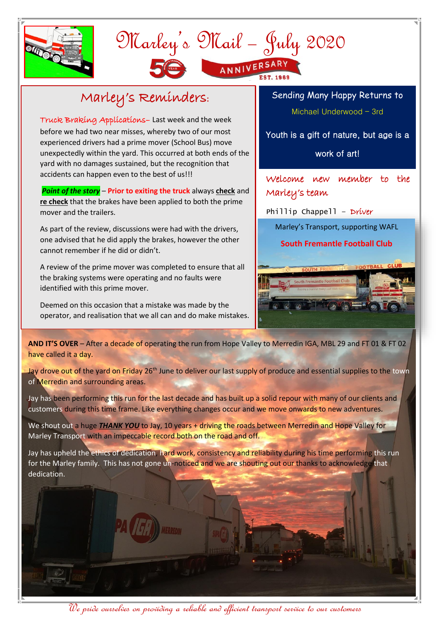

## Marley's Mail – July 2020 ANNIVERSARY

## Marley's Reminders:

Truck Braking Applications– Last week and the week before we had two near misses, whereby two of our most experienced drivers had a prime mover (School Bus) move unexpectedly within the yard. This occurred at both ends of the yard with no damages sustained, but the recognition that accidents can happen even to the best of us!!!

*Point of the story* – **Prior to exiting the truck** always **check** and **re check** that the brakes have been applied to both the prime mover and the trailers.

As part of the review, discussions were had with the drivers, one advised that he did apply the brakes, however the other cannot remember if he did or didn't.

A review of the prime mover was completed to ensure that all the braking systems were operating and no faults were identified with this prime mover.

Deemed on this occasion that a mistake was made by the operator, and realisation that we all can and do make mistakes. Sending Many Happy Returns to Michael Underwood – 3rd

Youth is a gift of nature, but age is a

work of art!

Welcome new member to the Marley's team

Phillip Chappell - Driver

Marley's Transport, supporting WAFL

## **South Fremantle Football Club**



**AND IT'S OVER** – After a decade of operating the run from Hope Valley to Merredin IGA, MBL 29 and FT 01 & FT 02 have called it a day.

of Merredin and surrounding areas. Jay drove out of the yard on Friday 26<sup>th</sup> June to deliver our last supply of produce and essential supplies to the town

Jay has been performing this run for the last decade and has built up a solid repour with many of our clients and customers during this time frame. Like everything changes occur and we move onwards to new adventures.

Marley Transport with an impeccable record both on the road and off. We shout out a huge **THANK YOU** to Jay, 10 years + driving the roads between Merredin and Hope Valley for

Jay has upheld the ethics of dedication, hard work, consistency and reliability during his time performing this run for the Marley family. This has not gone un-noticed and we are shouting out our thanks to acknowledge that dedication.